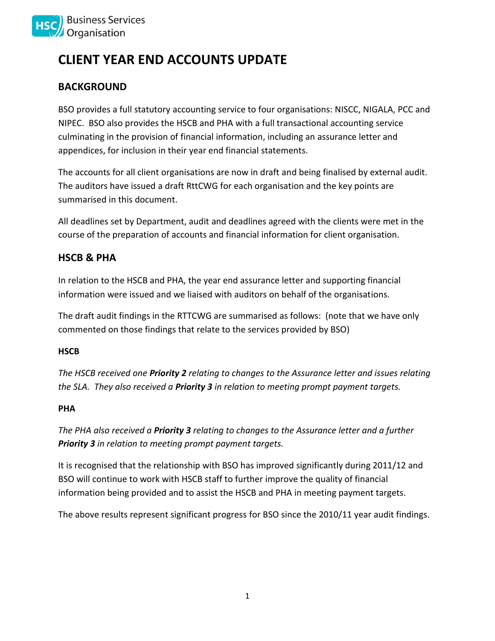

# **CLIENT YEAR END ACCOUNTS UPDATE**

## **BACKGROUND**

BSO provides a full statutory accounting service to four organisations: NISCC, NIGALA, PCC and NIPEC. BSO also provides the HSCB and PHA with a full transactional accounting service culminating in the provision of financial information, including an assurance letter and appendices, for inclusion in their year end financial statements.

The accounts for all client organisations are now in draft and being finalised by external audit. The auditors have issued a draft RttCWG for each organisation and the key points are summarised in this document.

All deadlines set by Department, audit and deadlines agreed with the clients were met in the course of the preparation of accounts and financial information for client organisation.

## **HSCB & PHA**

In relation to the HSCB and PHA, the year end assurance letter and supporting financial information were issued and we liaised with auditors on behalf of the organisations.

The draft audit findings in the RTTCWG are summarised as follows: (note that we have only commented on those findings that relate to the services provided by BSO)

#### **HSCB**

*The HSCB received one Priority 2 relating to changes to the Assurance letter and issues relating the SLA. They also received a Priority 3 in relation to meeting prompt payment targets.*

#### **PHA**

*The PHA also received a Priority 3 relating to changes to the Assurance letter and a further Priority 3 in relation to meeting prompt payment targets.*

It is recognised that the relationship with BSO has improved significantly during 2011/12 and BSO will continue to work with HSCB staff to further improve the quality of financial information being provided and to assist the HSCB and PHA in meeting payment targets.

The above results represent significant progress for BSO since the 2010/11 year audit findings.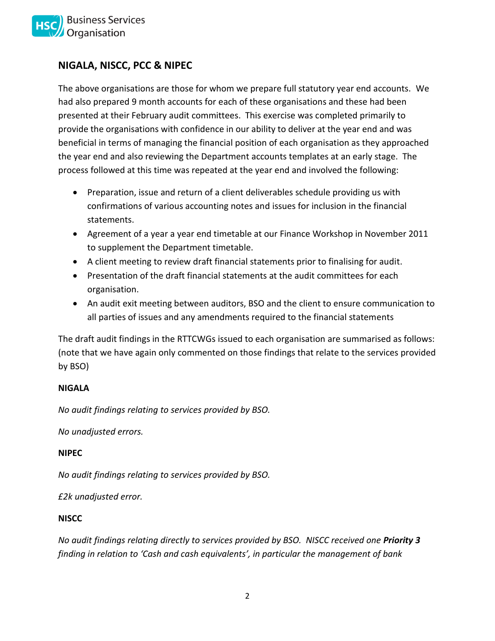

## **NIGALA, NISCC, PCC & NIPEC**

The above organisations are those for whom we prepare full statutory year end accounts. We had also prepared 9 month accounts for each of these organisations and these had been presented at their February audit committees. This exercise was completed primarily to provide the organisations with confidence in our ability to deliver at the year end and was beneficial in terms of managing the financial position of each organisation as they approached the year end and also reviewing the Department accounts templates at an early stage. The process followed at this time was repeated at the year end and involved the following:

- Preparation, issue and return of a client deliverables schedule providing us with confirmations of various accounting notes and issues for inclusion in the financial statements.
- Agreement of a year a year end timetable at our Finance Workshop in November 2011 to supplement the Department timetable.
- A client meeting to review draft financial statements prior to finalising for audit.
- Presentation of the draft financial statements at the audit committees for each organisation.
- An audit exit meeting between auditors, BSO and the client to ensure communication to all parties of issues and any amendments required to the financial statements

The draft audit findings in the RTTCWGs issued to each organisation are summarised as follows: (note that we have again only commented on those findings that relate to the services provided by BSO)

#### **NIGALA**

*No audit findings relating to services provided by BSO.* 

*No unadjusted errors.*

#### **NIPEC**

*No audit findings relating to services provided by BSO.* 

*£2k unadjusted error.*

#### **NISCC**

*No audit findings relating directly to services provided by BSO. NISCC received one Priority 3 finding in relation to 'Cash and cash equivalents', in particular the management of bank*